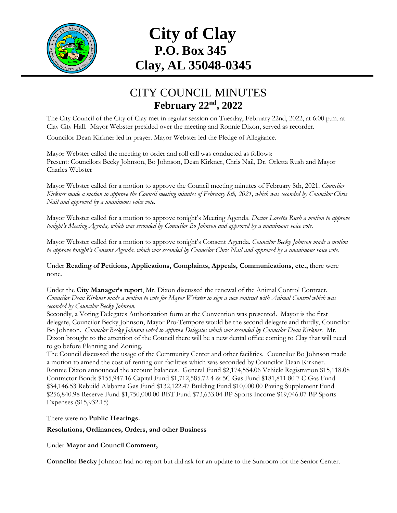

## **City of Clay P.O. Box 345 Clay, AL 35048-0345**

## CITY COUNCIL MINUTES **February 22nd , 2022**

The City Council of the City of Clay met in regular session on Tuesday, February 22nd, 2022, at 6:00 p.m. at Clay City Hall. Mayor Webster presided over the meeting and Ronnie Dixon, served as recorder. Councilor Dean Kirkner led in prayer. Mayor Webster led the Pledge of Allegiance.

Mayor Webster called the meeting to order and roll call was conducted as follows: Present: Councilors Becky Johnson, Bo Johnson, Dean Kirkner, Chris Nail, Dr. Orletta Rush and Mayor Charles Webster

Mayor Webster called for a motion to approve the Council meeting minutes of February 8th, 2021. *Councilor Kirkner made a motion to approve the Council meeting minutes of February 8th, 2021, which was seconded by Councilor Chris Nail and approved by a unanimous voice vote.*

Mayor Webster called for a motion to approve tonight's Meeting Agenda. *Doctor Loretta Rush a motion to approve tonight's Meeting Agenda, which was seconded by Councilor Bo Johnson and approved by a unanimous voice vote.*

Mayor Webster called for a motion to approve tonight's Consent Agenda. *Councilor Becky Johnson made a motion to approve tonight's Consent Agenda, which was seconded by Councilor Chris Nail and approved by a unanimous voice vote.*

Under **Reading of Petitions, Applications, Complaints, Appeals, Communications, etc.,** there were none*.*

Under the **City Manager's report**, Mr. Dixon discussed the renewal of the Animal Control Contract. *Councilor Dean Kirkner made a motion to vote for Mayor Webster to sign a new contract with Animal Control which was seconded by Councilor Becky Johnson.*

Secondly, a Voting Delegates Authorization form at the Convention was presented. Mayor is the first delegate, Councilor Becky Johnson, Mayor Pro-Tempore would be the second delegate and thirdly, Councilor Bo Johnson. *Councilor Becky Johnson voted to approve Delegates which was seconded by Councilor Dean Kirkner.* Mr. Dixon brought to the attention of the Council there will be a new dental office coming to Clay that will need to go before Planning and Zoning.

The Council discussed the usage of the Community Center and other facilities. Councilor Bo Johnson made a motion to amend the cost of renting our facilities which was seconded by Councilor Dean Kirkner. Ronnie Dixon announced the account balances. General Fund \$2,174,554.06 Vehicle Registration \$15,118.08 Contractor Bonds \$155,947.16 Capital Fund \$1,712,585.72 4 & 5C Gas Fund \$181,811.80 7 C Gas Fund \$34,146.53 Rebuild Alabama Gas Fund \$132,122.47 Building Fund \$10,000.00 Paving Supplement Fund \$256,840.98 Reserve Fund \$1,750,000.00 BBT Fund \$73,633.04 BP Sports Income \$19,046.07 BP Sports Expenses (\$15,932.15)

There were no **Public Hearings.**

**Resolutions, Ordinances, Orders, and other Business**

Under **Mayor and Council Comment,** 

**Councilor Becky** Johnson had no report but did ask for an update to the Sunroom for the Senior Center.